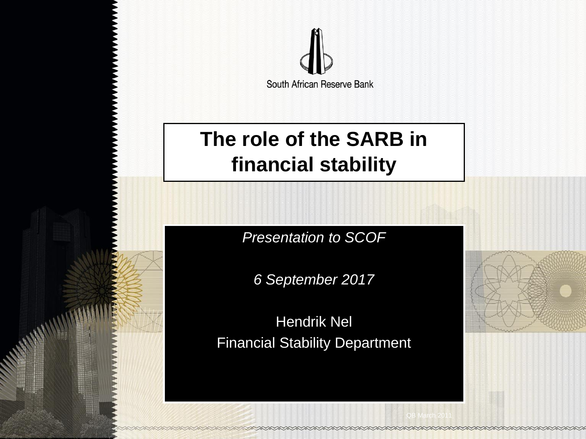

## **The role of the SARB in financial stability**

*Presentation to SCOF*

*6 September 2017*

Hendrik Nel Financial Stability Department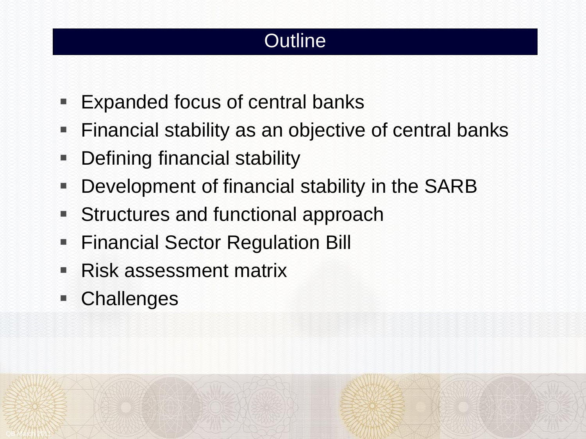## **Outline**

- **Expanded focus of central banks**
- Financial stability as an objective of central banks
- Defining financial stability
- **Development of financial stability in the SARB**
- Structures and functional approach
- **Financial Sector Regulation Bill**
- Risk assessment matrix
- Challenges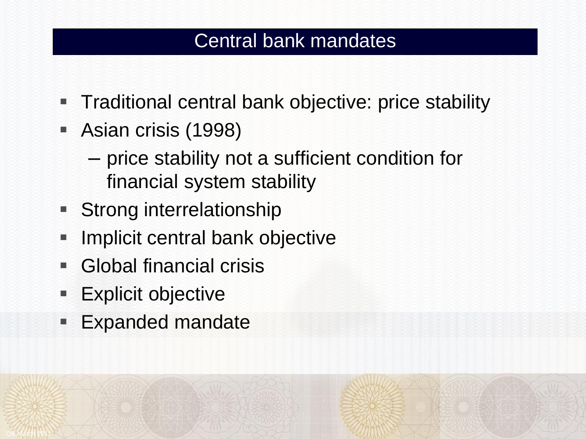## Central bank mandates

- **Traditional central bank objective: price stability**
- Asian crisis (1998)
	- price stability not a sufficient condition for financial system stability
- **Strong interrelationship**
- **Implicit central bank objective**
- **Global financial crisis**
- **Explicit objective**

QB March 2011

**Expanded mandate**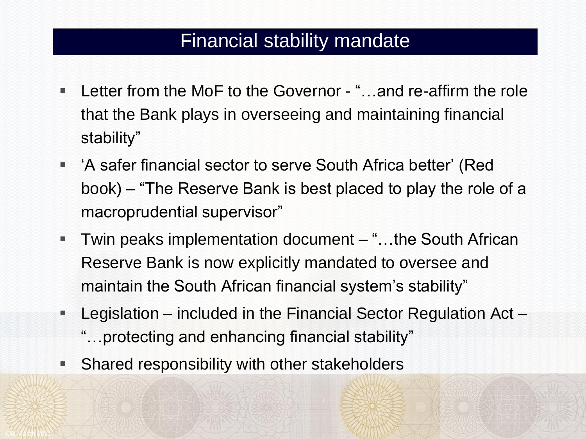#### Financial stability mandate

- Letter from the MoF to the Governor "...and re-affirm the role that the Bank plays in overseeing and maintaining financial stability"
- 'A safer financial sector to serve South Africa better' (Red book) – "The Reserve Bank is best placed to play the role of a macroprudential supervisor"
- Twin peaks implementation document "...the South African Reserve Bank is now explicitly mandated to oversee and maintain the South African financial system's stability"
- Legislation included in the Financial Sector Regulation Act
	- "…protecting and enhancing financial stability"
- **Shared responsibility with other stakeholders**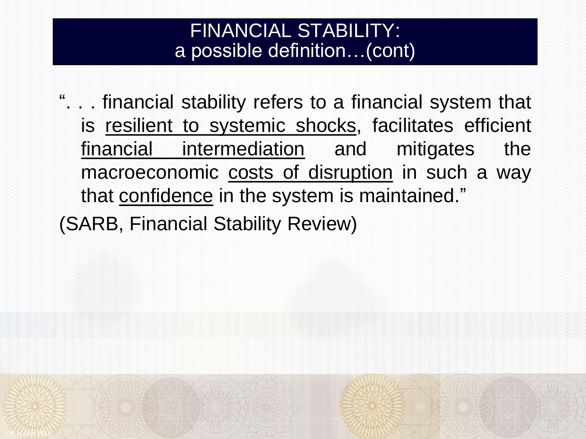#### FINANCIAL STABILITY: a possible definition…(cont)

". . . financial stability refers to a financial system that is resilient to systemic shocks, facilitates efficient financial intermediation and mitigates the macroeconomic costs of disruption in such a way that confidence in the system is maintained."

(SARB, Financial Stability Review)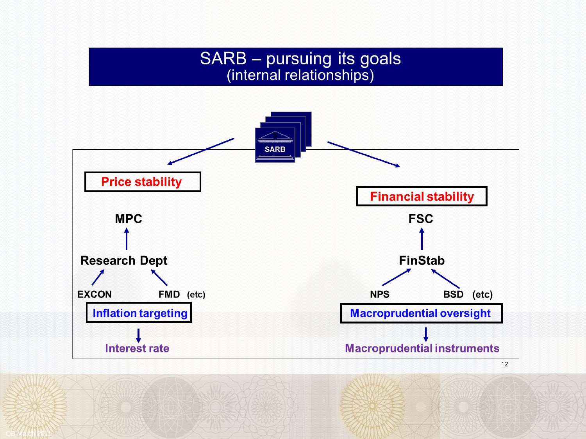#### SARB - pursuing its goals (internal relationships)

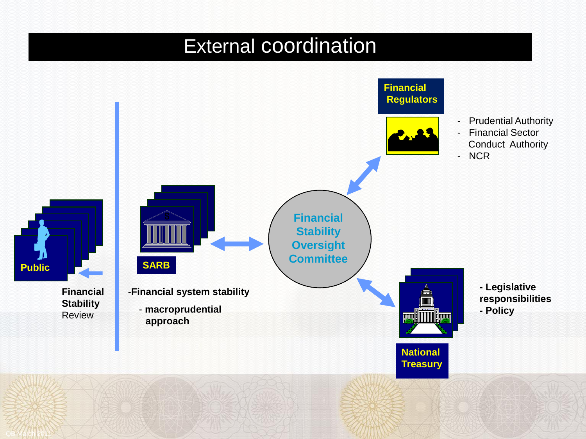## External coordination

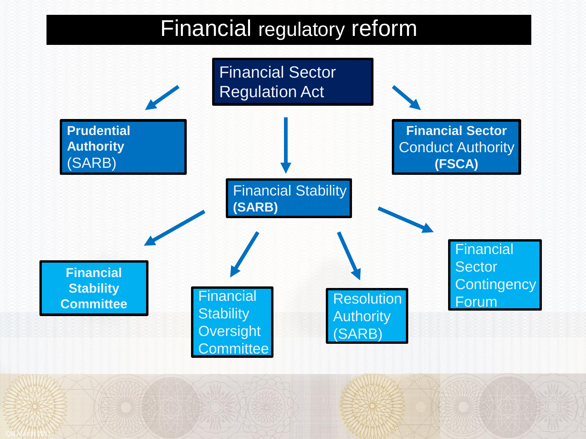## Financial regulatory reform

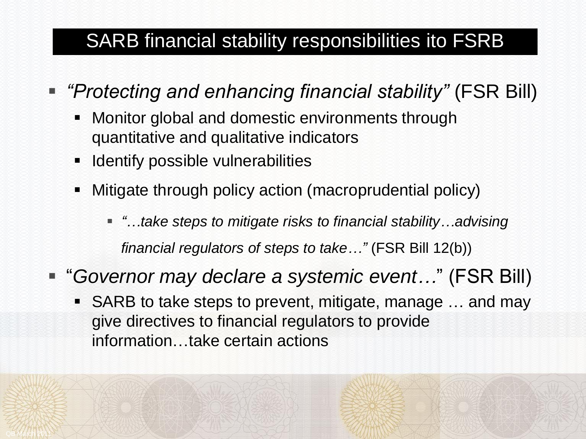## SARB financial stability responsibilities ito FSRB

- *"Protecting and enhancing financial stability"* (FSR Bill)
	- Monitor global and domestic environments through quantitative and qualitative indicators
	- **If Identify possible vulnerabilities**
	- Mitigate through policy action (macroprudential policy)
		- *"…take steps to mitigate risks to financial stability…advising*

*financial regulators of steps to take…"* (FSR Bill 12(b))

- "*Governor may declare a systemic event…*" (FSR Bill)
	- SARB to take steps to prevent, mitigate, manage … and may give directives to financial regulators to provide information…take certain actions

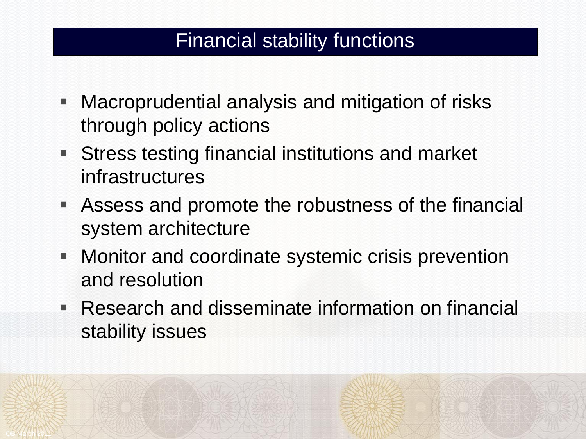## Financial stability functions

- Macroprudential analysis and mitigation of risks through policy actions
- Stress testing financial institutions and market infrastructures
- Assess and promote the robustness of the financial system architecture
- **Monitor and coordinate systemic crisis prevention** and resolution
- Research and disseminate information on financial stability issues

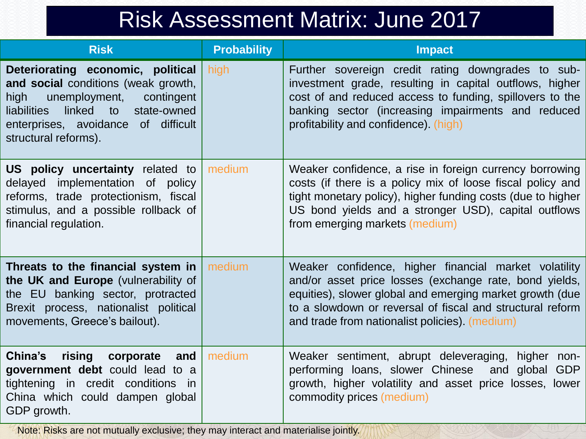# Risk Assessment Matrix: June 2017

| <b>Risk</b>                                                                                                                                                                                                                      | <b>Probability</b> | <b>Impact</b>                                                                                                                                                                                                                                                                              |
|----------------------------------------------------------------------------------------------------------------------------------------------------------------------------------------------------------------------------------|--------------------|--------------------------------------------------------------------------------------------------------------------------------------------------------------------------------------------------------------------------------------------------------------------------------------------|
| Deteriorating economic, political<br>and social conditions (weak growth,<br>unemployment,<br>contingent<br>high<br><b>liabilities</b><br>linked to<br>state-owned<br>enterprises, avoidance of difficult<br>structural reforms). | high               | Further sovereign credit rating downgrades to sub-<br>investment grade, resulting in capital outflows, higher<br>cost of and reduced access to funding, spillovers to the<br>banking sector (increasing impairments and reduced<br>profitability and confidence) (high)                    |
| US policy uncertainty related to<br>delayed implementation of policy<br>reforms, trade protectionism, fiscal<br>stimulus, and a possible rollback of<br>financial regulation.                                                    | medium             | Weaker confidence, a rise in foreign currency borrowing<br>costs (if there is a policy mix of loose fiscal policy and<br>tight monetary policy), higher funding costs (due to higher<br>US bond yields and a stronger USD), capital outflows<br>from emerging markets (medium)             |
| Threats to the financial system in<br>the UK and Europe (vulnerability of<br>the EU banking sector, protracted<br>Brexit process, nationalist political<br>movements, Greece's bailout).                                         | medium             | Weaker confidence, higher financial market volatility<br>and/or asset price losses (exchange rate, bond yields,<br>equities), slower global and emerging market growth (due<br>to a slowdown or reversal of fiscal and structural reform<br>and trade from nationalist policies). (medium) |
| rising corporate<br>China's<br>and<br>government debt could lead to a<br>tightening in credit conditions<br>in.<br>China which could dampen global<br>GDP growth.                                                                | medium             | Weaker sentiment, abrupt deleveraging, higher<br>non-<br>performing loans, slower Chinese<br>and global GDP<br>growth, higher volatility and asset price losses, lower<br>commodity prices (medium)                                                                                        |

Note: Risks are not mutually exclusive; they may interact and materialise jointly.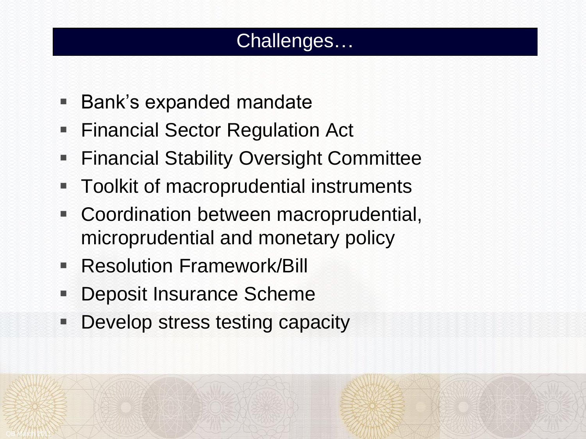## Challenges…

- Bank's expanded mandate
- **Financial Sector Regulation Act**
- Financial Stability Oversight Committee
- **Toolkit of macroprudential instruments**
- Coordination between macroprudential, microprudential and monetary policy
- Resolution Framework/Bill
- **Deposit Insurance Scheme**

QB March 2011

**Develop stress testing capacity**